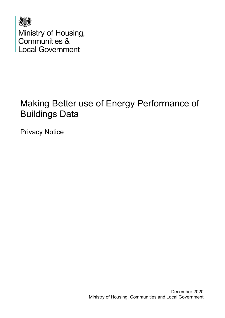

# Making Better use of Energy Performance of Buildings Data

Privacy Notice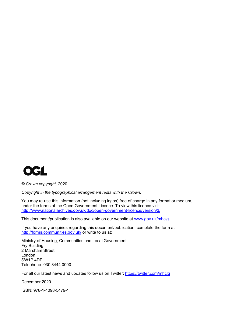

*© Crown copyright,* 2020

*Copyright in the typographical arrangement rests with the Crown.*

You may re-use this information (not including logos) free of charge in any format or medium, under the terms of the Open Government Licence. To view this licence visit <http://www.nationalarchives.gov.uk/doc/open-government-licence/version/3/>

This document/publication is also available on our website at [www.gov.uk/mhclg](http://www.gov.uk/mhclg)

If you have any enquiries regarding this document/publication, complete the form at <http://forms.communities.gov.uk/> or write to us at:

Ministry of Housing, Communities and Local Government Fry Building 2 Marsham Street London SW1P 4DF Telephone: 030 3444 0000

For all our latest news and updates follow us on Twitter:<https://twitter.com/mhclg>

December 2020

ISBN: 978-1-4098-5479-1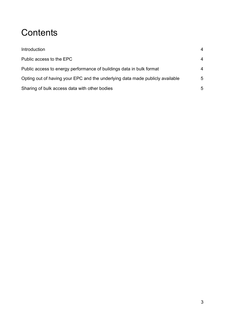# **Contents**

| Introduction                                                                  |   |
|-------------------------------------------------------------------------------|---|
| Public access to the EPC                                                      | 4 |
| Public access to energy performance of buildings data in bulk format          | 4 |
| Opting out of having your EPC and the underlying data made publicly available | 5 |
| Sharing of bulk access data with other bodies                                 | 5 |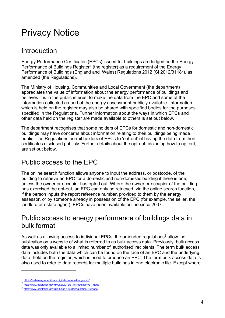## Privacy Notice

### <span id="page-3-0"></span>Introduction

Energy Performance Certificates (EPCs) issued for buildings are lodged on the Energy Performance of Buildings Register<sup>[1](#page-3-3)</sup> (the register) as a requirement of the Energy Performance of Buildings (England and Wales) Regulations 2012 (SI 2012/3118<sup>2</sup>), as amended (the Regulations).

The Ministry of Housing, Communities and Local Government (the department) appreciates the value of information about the energy performance of buildings and believes it is in the public interest to make the data from the EPC and some of the information collected as part of the energy assessment publicly available. Information which is held on the register may also be shared with specified bodies for the purposes specified in the Regulations. Further information about the ways in which EPCs and other data held on the register are made available to others is set out below.

The department recognises that some holders of EPCs for domestic and non-domestic buildings may have concerns about information relating to their buildings being made public. The Regulations permit holders of EPCs to 'opt-out' of having the data from their certificates disclosed publicly. Further details about the opt-out, including how to opt out, are set out below.

### <span id="page-3-1"></span>Public access to the EPC

The online search function allows anyone to input the address, or postcode, of the building to retrieve an EPC for a domestic and non-domestic building if there is one, unless the owner or occupier has opted out. Where the owner or occupier of the building has exercised the opt-out, an EPC can only be retrieved, via the online search function, if the person inputs the report reference number, provided to them by the energy assessor, or by someone already in possession of the EPC (for example, the seller, the landlord or estate agent). EPCs have been available online since 2007.

#### <span id="page-3-2"></span>Public access to energy performance of buildings data in bulk format

As well as allowing access to individual EPCs, the amended regulations<sup>[3](#page-3-5)</sup> allow the publication on a website of what is referred to as bulk access data. Previously, bulk access data was only available to a limited number of 'authorised' recipients. The term bulk access data includes both the data which can be found on the face of an EPC and the underlying data, held on the register, which is used to produce an EPC. The term bulk access data is also used to refer to data records for multiple buildings in one electronic file. Except where

<span id="page-3-3"></span><sup>1</sup> <https://find-energy-certificate.digital.communities.gov.uk/>

<span id="page-3-4"></span><sup>2</sup> <http://www.legislation.gov.uk/uksi/2012/3118/regulation/31/made>

<span id="page-3-5"></span><sup>3</sup> <http://www.legislation.gov.uk/uksi/2016/284/regulation/18/made>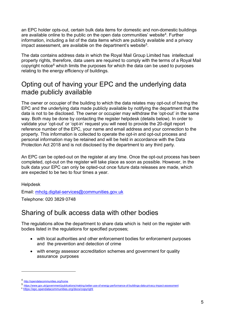an EPC holder opts-out, certain bulk data items for domestic and non-domestic buildings are available online to the public on the open data communities' website<sup>[4](#page-4-2)</sup>. Further information, including a list of the data items which are publicly available and a privacy impact assessment, are available on the department's website<sup>5</sup>.

The data contains address data in which the Royal Mail Group Limited has intellectual property rights, therefore, data users are required to comply with the terms of a Royal Mail copyright notice $6$  which limits the purposes for which the data can be used to purposes relating to the energy efficiency of buildings.

### <span id="page-4-0"></span>Opting out of having your EPC and the underlying data made publicly available

The owner or occupier of the building to which the data relates may opt-out of having the EPC and the underlying data made publicly available by notifying the department that the data is not to be disclosed. The owner or occupier may withdraw the 'opt-out' in the same way. Both may be done by contacting the register helpdesk (details below). In order to validate your 'opt-out' or 'opt-in' request you will need to provide the 20-digit report reference number of the EPC, your name and email address and your connection to the property. This information is collected to operate the opt-in and opt-out process and personal information may be retained and will be held in accordance with the Data Protection Act 2018 and is not disclosed by the department to any third party.

An EPC can be opted-out on the register at any time. Once the opt-out process has been completed, opt-out on the register will take place as soon as possible. However, in the bulk data your EPC can only be opted-out once future data releases are made, which are expected to be two to four times a year.

Helpdesk

Email: [mhclg.digital-services@communities.gov.uk](mailto:mhclg.digital-services@communities.gov.uk)

Telephone: 020 3829 0748

#### <span id="page-4-1"></span>Sharing of bulk access data with other bodies

The regulations allow the department to share data which is held on the register with bodies listed in the regulations for specified purposes;

- with local authorities and other enforcement bodies for enforcement purposes and the prevention and detection of crime
- with energy assessor accreditation schemes and government for quality assurance purposes

<span id="page-4-2"></span><sup>4</sup> <http://opendatacommunities.org/home>

<span id="page-4-3"></span><sup>5</sup> <https://www.gov.uk/government/publications/making-better-use-of-energy-performance-of-buildings-data-privacy-impact-assessment>

<span id="page-4-4"></span><sup>6</sup> <https://epc.opendatacommunities.org/docs/copyright>